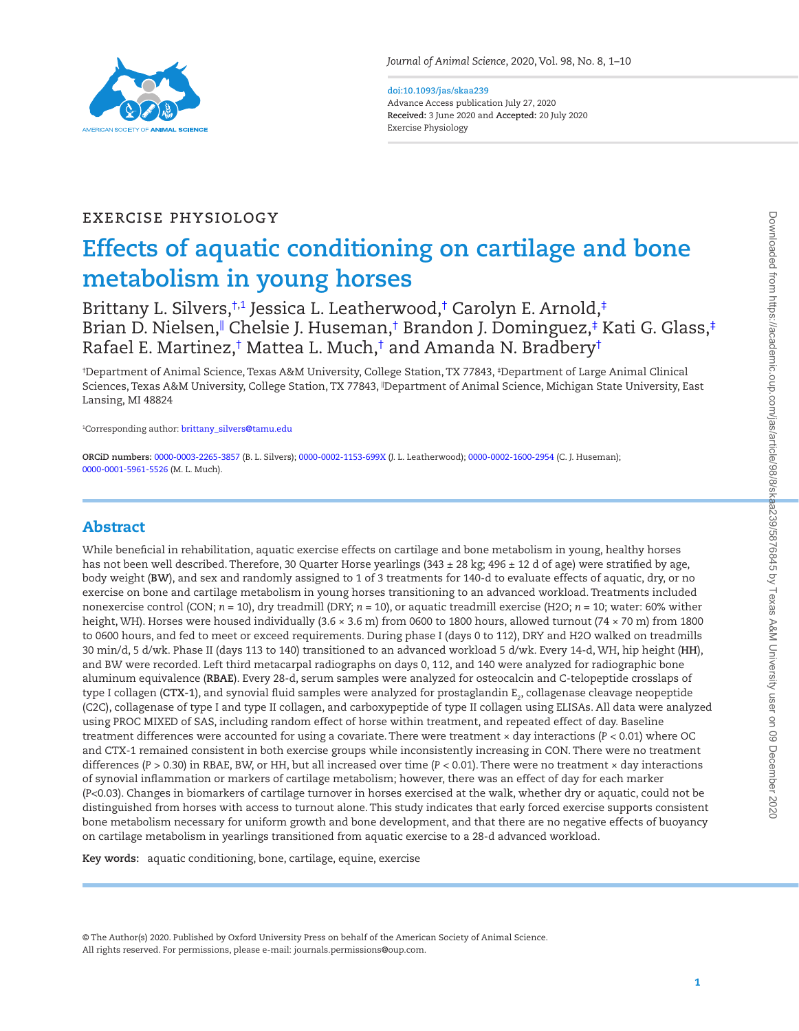

#### **doi:10.1093/jas/skaa239** Advance Access publication July 27, 2020 **Received:** 3 June 2020 and **Accepted:** 20 July 2020 Exercise Physiology

# Exercise Physiology

# **Effects of aquatic conditioning on cartilage and bone metabolism in young horses**

[Brittany L. Silvers](http://orcid.org/0000-0003-2265-3857),†1 [Jessica L. Leatherwood](http://orcid.org/0000-0002-1153-699X),[†](#page-0-0) Carolyn E. Arnold,[‡](#page-0-1) Brian D. Nielsen," [Chelsie J. Huseman,](http://orcid.org/0000-0002-1600-2954)[†](#page-0-0) Brandon J. Dominguez,[‡](#page-0-1) Kati G. Glass,‡ Rafael E. Martinez,[†](#page-0-0) [Mattea L. Much](http://orcid.org/0000-0001-5961-5526),† and Amanda N. Bradber[y†](#page-0-0)

<span id="page-0-1"></span><span id="page-0-0"></span>† Department of Animal Science, Texas A&M University, College Station, TX 77843, ‡ Department of Large Animal Clinical Sciences, Texas A&M University, College Station, TX 77843, <sup>II</sup>Department of Animal Science, Michigan State University, East Lansing, MI 48824

1 Corresponding author: [brittany\\_silvers@tamu.edu](mailto:brittany_silvers@tamu.edu?subject=)

**ORCiD numbers:** [0000-0003-2265-3857](http://orcid.org/0000-0003-2265-3857) (B. L. Silvers); [0000-0002-1153-699X](http://orcid.org/0000-0002-1153-699X) (J. L. Leatherwood); [0000-0002-1600-2954](http://orcid.org/0000-0002-1600-2954) (C. J. Huseman); [0000-0001-5961-5526](http://orcid.org/0000-0001-5961-5526) (M. L. Much).

# Abstract

L

While beneficial in rehabilitation, aquatic exercise effects on cartilage and bone metabolism in young, healthy horses has not been well described. Therefore, 30 Quarter Horse yearlings (343 ± 28 kg; 496 ± 12 d of age) were stratified by age, body weight (**BW**), and sex and randomly assigned to 1 of 3 treatments for 140-d to evaluate effects of aquatic, dry, or no exercise on bone and cartilage metabolism in young horses transitioning to an advanced workload. Treatments included nonexercise control (CON; *n* = 10), dry treadmill (DRY; *n* = 10), or aquatic treadmill exercise (H2O; *n* = 10; water: 60% wither height, WH). Horses were housed individually (3.6 × 3.6 m) from 0600 to 1800 hours, allowed turnout (74 × 70 m) from 1800 to 0600 hours, and fed to meet or exceed requirements. During phase I (days 0 to 112), DRY and H2O walked on treadmills 30 min/d, 5 d/wk. Phase II (days 113 to 140) transitioned to an advanced workload 5 d/wk. Every 14-d, WH, hip height (**HH**), and BW were recorded. Left third metacarpal radiographs on days 0, 112, and 140 were analyzed for radiographic bone aluminum equivalence (**RBAE**). Every 28-d, serum samples were analyzed for osteocalcin and C-telopeptide crosslaps of type I collagen (**CTX-1**), and synovial fluid samples were analyzed for prostaglandin E<sub>2</sub>, collagenase cleavage neopeptide (C2C), collagenase of type I and type II collagen, and carboxypeptide of type II collagen using ELISAs. All data were analyzed using PROC MIXED of SAS, including random effect of horse within treatment, and repeated effect of day. Baseline treatment differences were accounted for using a covariate. There were treatment × day interactions (*P* < 0.01) where OC and CTX-1 remained consistent in both exercise groups while inconsistently increasing in CON. There were no treatment differences (*P* > 0.30) in RBAE, BW, or HH, but all increased over time (*P* < 0.01). There were no treatment × day interactions of synovial inflammation or markers of cartilage metabolism; however, there was an effect of day for each marker (*P*<0.03). Changes in biomarkers of cartilage turnover in horses exercised at the walk, whether dry or aquatic, could not be distinguished from horses with access to turnout alone. This study indicates that early forced exercise supports consistent bone metabolism necessary for uniform growth and bone development, and that there are no negative effects of buoyancy on cartilage metabolism in yearlings transitioned from aquatic exercise to a 28-d advanced workload.

**Key words:** aquatic conditioning, bone, cartilage, equine, exercise

© The Author(s) 2020. Published by Oxford University Press on behalf of the American Society of Animal Science. All rights reserved. For permissions, please e-mail: journals.permissions@oup.com.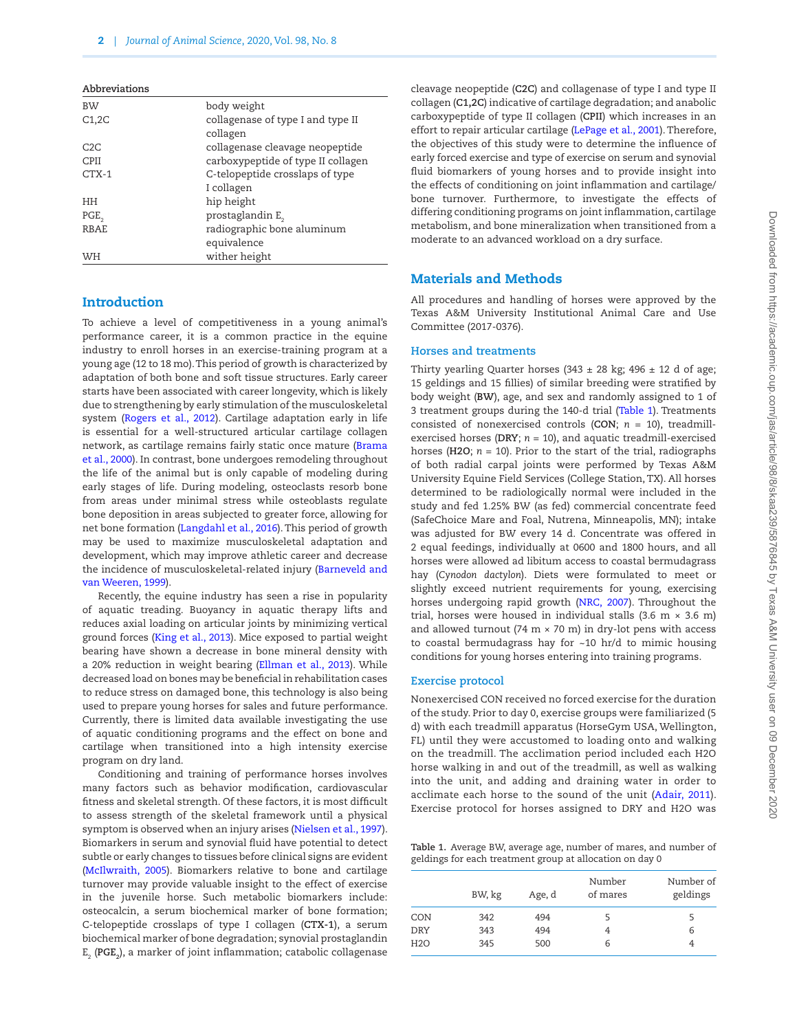| Abbreviations |                                               |
|---------------|-----------------------------------------------|
| <b>BW</b>     | body weight                                   |
| C1,2C         | collagenase of type I and type II<br>collagen |
| C2C           | collagenase cleavage neopeptide               |
| <b>CPII</b>   | carboxypeptide of type II collagen            |
| $CTX-1$       | C-telopeptide crosslaps of type               |
|               | I collagen                                    |
| HН            | hip height                                    |
| PGE           | prostaglandin E <sub>2</sub>                  |
| RBAE          | radiographic bone aluminum                    |
|               | equivalence                                   |
| WH            | wither height                                 |

#### **Introduction**

To achieve a level of competitiveness in a young animal's performance career, it is a common practice in the equine industry to enroll horses in an exercise-training program at a young age (12 to 18 mo). This period of growth is characterized by adaptation of both bone and soft tissue structures. Early career starts have been associated with career longevity, which is likely due to strengthening by early stimulation of the musculoskeletal system [\(Rogers et al., 2012](#page-9-0)). Cartilage adaptation early in life is essential for a well-structured articular cartilage collagen network, as cartilage remains fairly static once mature [\(Brama](#page-8-0) [et al., 2000](#page-8-0)). In contrast, bone undergoes remodeling throughout the life of the animal but is only capable of modeling during early stages of life. During modeling, osteoclasts resorb bone from areas under minimal stress while osteoblasts regulate bone deposition in areas subjected to greater force, allowing for net bone formation [\(Langdahl et al., 2016\)](#page-9-1). This period of growth may be used to maximize musculoskeletal adaptation and development, which may improve athletic career and decrease the incidence of musculoskeletal-related injury ([Barneveld and](#page-8-1) [van Weeren, 1999](#page-8-1)).

Recently, the equine industry has seen a rise in popularity of aquatic treading. Buoyancy in aquatic therapy lifts and reduces axial loading on articular joints by minimizing vertical ground forces ([King et al., 2013\)](#page-9-2). Mice exposed to partial weight bearing have shown a decrease in bone mineral density with a 20% reduction in weight bearing ([Ellman et al., 2013](#page-8-2)). While decreased load on bones may be beneficial in rehabilitation cases to reduce stress on damaged bone, this technology is also being used to prepare young horses for sales and future performance. Currently, there is limited data available investigating the use of aquatic conditioning programs and the effect on bone and cartilage when transitioned into a high intensity exercise program on dry land.

Conditioning and training of performance horses involves many factors such as behavior modification, cardiovascular fitness and skeletal strength. Of these factors, it is most difficult to assess strength of the skeletal framework until a physical symptom is observed when an injury arises ([Nielsen et al., 1997\)](#page-9-3). Biomarkers in serum and synovial fluid have potential to detect subtle or early changes to tissues before clinical signs are evident [\(McIlwraith, 2005\)](#page-9-4). Biomarkers relative to bone and cartilage turnover may provide valuable insight to the effect of exercise in the juvenile horse. Such metabolic biomarkers include: osteocalcin, a serum biochemical marker of bone formation; C-telopeptide crosslaps of type I collagen (**CTX-1**), a serum biochemical marker of bone degradation; synovial prostaglandin E<sub>2</sub> (**PGE<sub>2</sub>),** a marker of joint inflammation; catabolic collagenase cleavage neopeptide (**C2C**) and collagenase of type I and type II collagen (**C1,2C**) indicative of cartilage degradation; and anabolic carboxypeptide of type II collagen (**CPII**) which increases in an effort to repair articular cartilage [\(LePage et al., 2001\)](#page-9-5). Therefore, the objectives of this study were to determine the influence of early forced exercise and type of exercise on serum and synovial fluid biomarkers of young horses and to provide insight into the effects of conditioning on joint inflammation and cartilage/ bone turnover. Furthermore, to investigate the effects of differing conditioning programs on joint inflammation, cartilage metabolism, and bone mineralization when transitioned from a moderate to an advanced workload on a dry surface.

## Materials and Methods

All procedures and handling of horses were approved by the Texas A&M University Institutional Animal Care and Use Committee (2017-0376).

#### **Horses and treatments**

Thirty yearling Quarter horses (343  $\pm$  28 kg; 496  $\pm$  12 d of age; 15 geldings and 15 fillies) of similar breeding were stratified by body weight (**BW**), age, and sex and randomly assigned to 1 of 3 treatment groups during the 140-d trial [\(Table 1\)](#page-1-0). Treatments consisted of nonexercised controls (**CON**; *n* = 10), treadmillexercised horses (**DRY**; *n* = 10), and aquatic treadmill-exercised horses (**H2O**; *n* = 10). Prior to the start of the trial, radiographs of both radial carpal joints were performed by Texas A&M University Equine Field Services (College Station, TX). All horses determined to be radiologically normal were included in the study and fed 1.25% BW (as fed) commercial concentrate feed (SafeChoice Mare and Foal, Nutrena, Minneapolis, MN); intake was adjusted for BW every 14 d. Concentrate was offered in 2 equal feedings, individually at 0600 and 1800 hours, and all horses were allowed ad libitum access to coastal bermudagrass hay (*Cynodon dactylon*). Diets were formulated to meet or slightly exceed nutrient requirements for young, exercising horses undergoing rapid growth ([NRC, 2007](#page-9-6)). Throughout the trial, horses were housed in individual stalls (3.6 m  $\times$  3.6 m) and allowed turnout (74 m  $\times$  70 m) in dry-lot pens with access to coastal bermudagrass hay for  $~10$  hr/d to mimic housing conditions for young horses entering into training programs.

#### **Exercise protocol**

Nonexercised CON received no forced exercise for the duration of the study. Prior to day 0, exercise groups were familiarized (5 d) with each treadmill apparatus (HorseGym USA, Wellington, FL) until they were accustomed to loading onto and walking on the treadmill. The acclimation period included each H2O horse walking in and out of the treadmill, as well as walking into the unit, and adding and draining water in order to acclimate each horse to the sound of the unit ([Adair, 2011\)](#page-8-3). Exercise protocol for horses assigned to DRY and H2O was

<span id="page-1-0"></span>**Table 1.** Average BW, average age, number of mares, and number of geldings for each treatment group at allocation on day 0

|            | BW, kg | Age, d | Number<br>of mares | Number of<br>geldings |  |  |
|------------|--------|--------|--------------------|-----------------------|--|--|
| CON        | 342    | 494    |                    |                       |  |  |
| <b>DRY</b> | 343    | 494    | 4                  | 6                     |  |  |
| H2O        | 345    | 500    | 6                  |                       |  |  |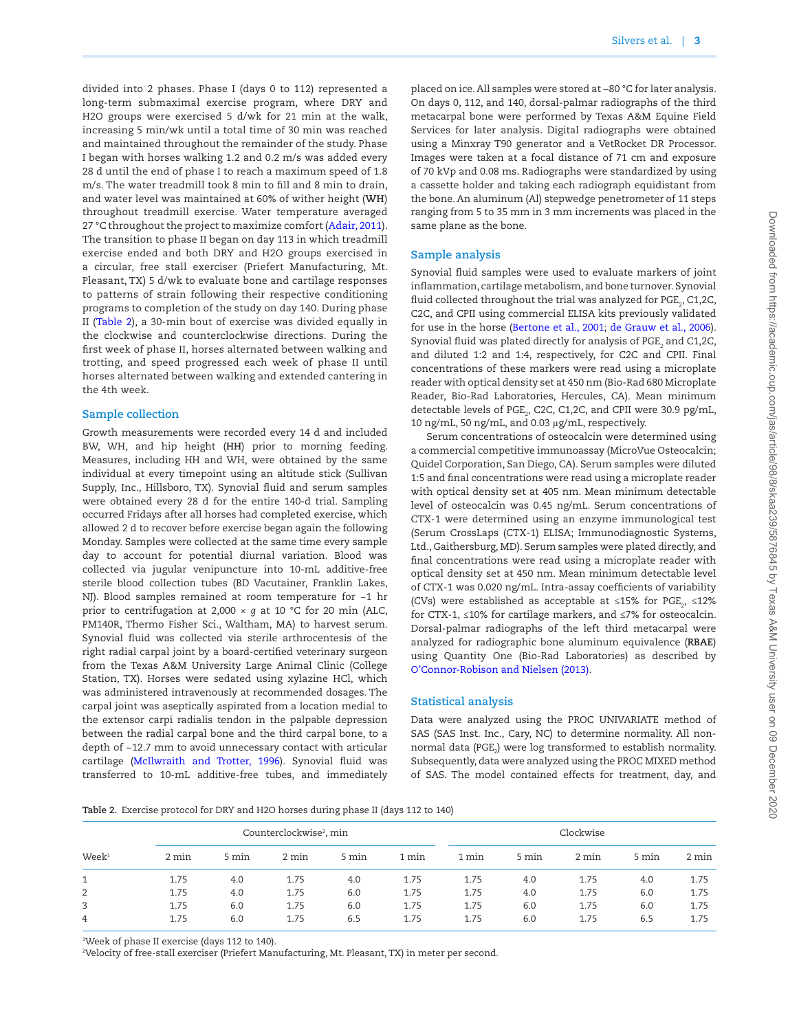divided into 2 phases. Phase I (days 0 to 112) represented a long-term submaximal exercise program, where DRY and H2O groups were exercised 5 d/wk for 21 min at the walk, increasing 5 min/wk until a total time of 30 min was reached and maintained throughout the remainder of the study. Phase I began with horses walking 1.2 and 0.2 m/s was added every 28 d until the end of phase I to reach a maximum speed of 1.8 m/s. The water treadmill took 8 min to fill and 8 min to drain, and water level was maintained at 60% of wither height (**WH**) throughout treadmill exercise. Water temperature averaged 27 °C throughout the project to maximize comfort ([Adair, 2011\)](#page-8-3). The transition to phase II began on day 113 in which treadmill exercise ended and both DRY and H2O groups exercised in a circular, free stall exerciser (Priefert Manufacturing, Mt. Pleasant, TX) 5 d/wk to evaluate bone and cartilage responses to patterns of strain following their respective conditioning programs to completion of the study on day 140. During phase II ([Table 2](#page-2-0)), a 30-min bout of exercise was divided equally in the clockwise and counterclockwise directions. During the first week of phase II, horses alternated between walking and trotting, and speed progressed each week of phase II until horses alternated between walking and extended cantering in the 4th week.

#### **Sample collection**

Growth measurements were recorded every 14 d and included BW, WH, and hip height (**HH**) prior to morning feeding. Measures, including HH and WH, were obtained by the same individual at every timepoint using an altitude stick (Sullivan Supply, Inc., Hillsboro, TX). Synovial fluid and serum samples were obtained every 28 d for the entire 140-d trial. Sampling occurred Fridays after all horses had completed exercise, which allowed 2 d to recover before exercise began again the following Monday. Samples were collected at the same time every sample day to account for potential diurnal variation. Blood was collected via jugular venipuncture into 10-mL additive-free sterile blood collection tubes (BD Vacutainer, Franklin Lakes, NJ). Blood samples remained at room temperature for ~1 hr prior to centrifugation at 2,000 × *g* at 10 °C for 20 min (ALC, PM140R, Thermo Fisher Sci., Waltham, MA) to harvest serum. Synovial fluid was collected via sterile arthrocentesis of the right radial carpal joint by a board-certified veterinary surgeon from the Texas A&M University Large Animal Clinic (College Station, TX). Horses were sedated using xylazine HCl, which was administered intravenously at recommended dosages. The carpal joint was aseptically aspirated from a location medial to the extensor carpi radialis tendon in the palpable depression between the radial carpal bone and the third carpal bone, to a depth of ~12.7 mm to avoid unnecessary contact with articular cartilage [\(McIlwraith and Trotter, 1996\)](#page-9-7). Synovial fluid was transferred to 10-mL additive-free tubes, and immediately placed on ice. All samples were stored at −80 °C for later analysis. On days 0, 112, and 140, dorsal-palmar radiographs of the third metacarpal bone were performed by Texas A&M Equine Field Services for later analysis. Digital radiographs were obtained using a Minxray T90 generator and a VetRocket DR Processor. Images were taken at a focal distance of 71 cm and exposure of 70 kVp and 0.08 ms. Radiographs were standardized by using a cassette holder and taking each radiograph equidistant from the bone. An aluminum (Al) stepwedge penetrometer of 11 steps ranging from 5 to 35 mm in 3 mm increments was placed in the same plane as the bone.

#### **Sample analysis**

Synovial fluid samples were used to evaluate markers of joint inflammation, cartilage metabolism, and bone turnover. Synovial fluid collected throughout the trial was analyzed for PGE $_{\textrm{\tiny{2}}}$ , C1,2C, C2C, and CPII using commercial ELISA kits previously validated for use in the horse ([Bertone et al., 2001](#page-8-4); [de Grauw et al., 2006\)](#page-8-5). Synovial fluid was plated directly for analysis of PGE $_{\textrm{\tiny{2}}}$  and C1,2C, and diluted 1:2 and 1:4, respectively, for C2C and CPII. Final concentrations of these markers were read using a microplate reader with optical density set at 450 nm (Bio-Rad 680 Microplate Reader, Bio-Rad Laboratories, Hercules, CA). Mean minimum detectable levels of PGE $_{\textrm{\tiny{2}}}$ , C2C, C1,2C, and CPII were 30.9 pg/mL, 10 ng/mL, 50 ng/mL, and 0.03 μg/mL, respectively.

Serum concentrations of osteocalcin were determined using a commercial competitive immunoassay (MicroVue Osteocalcin; Quidel Corporation, San Diego, CA). Serum samples were diluted 1:5 and final concentrations were read using a microplate reader with optical density set at 405 nm. Mean minimum detectable level of osteocalcin was 0.45 ng/mL. Serum concentrations of CTX-1 were determined using an enzyme immunological test (Serum CrossLaps (CTX-1) ELISA; Immunodiagnostic Systems, Ltd., Gaithersburg, MD). Serum samples were plated directly, and final concentrations were read using a microplate reader with optical density set at 450 nm. Mean minimum detectable level of CTX-1 was 0.020 ng/mL. Intra-assay coefficients of variability (CVs) were established as acceptable at ≤15% for PGE<sub>2</sub>, ≤12% for CTX-1, ≤10% for cartilage markers, and ≤7% for osteocalcin. Dorsal-palmar radiographs of the left third metacarpal were analyzed for radiographic bone aluminum equivalence (**RBAE**) using Quantity One (Bio-Rad Laboratories) as described by [O'Connor-Robison and Nielsen \(2013\).](#page-9-8)

#### **Statistical analysis**

Data were analyzed using the PROC UNIVARIATE method of SAS (SAS Inst. Inc., Cary, NC) to determine normality. All nonnormal data (PGE $_{2}$ ) were log transformed to establish normality. Subsequently, data were analyzed using the PROC MIXED method of SAS. The model contained effects for treatment, day, and

<span id="page-2-0"></span>**Table 2.** Exercise protocol for DRY and H2O horses during phase II (days 112 to 140)

| Week <sup>1</sup> | Counterclockwise <sup>2</sup> , min |       |       |       | Clockwise |       |       |       |       |       |
|-------------------|-------------------------------------|-------|-------|-------|-----------|-------|-------|-------|-------|-------|
|                   | 2 min                               | 5 min | 2 min | 5 min | 1 min     | 1 min | 5 min | 2 min | 5 min | 2 min |
| 1                 | 1.75                                | 4.0   | 1.75  | 4.0   | 1.75      | 1.75  | 4.0   | 1.75  | 4.0   | 1.75  |
| $\overline{2}$    | 1.75                                | 4.0   | 1.75  | 6.0   | 1.75      | 1.75  | 4.0   | 1.75  | 6.0   | 1.75  |
| 3                 | 1.75                                | 6.0   | 1.75  | 6.0   | 1.75      | 1.75  | 6.0   | 1.75  | 6.0   | 1.75  |
| 4                 | 1.75                                | 6.0   | 1.75  | 6.5   | 1.75      | 1.75  | 6.0   | 1.75  | 6.5   | 1.75  |

1 Week of phase II exercise (days 112 to 140).

2 Velocity of free-stall exerciser (Priefert Manufacturing, Mt. Pleasant, TX) in meter per second.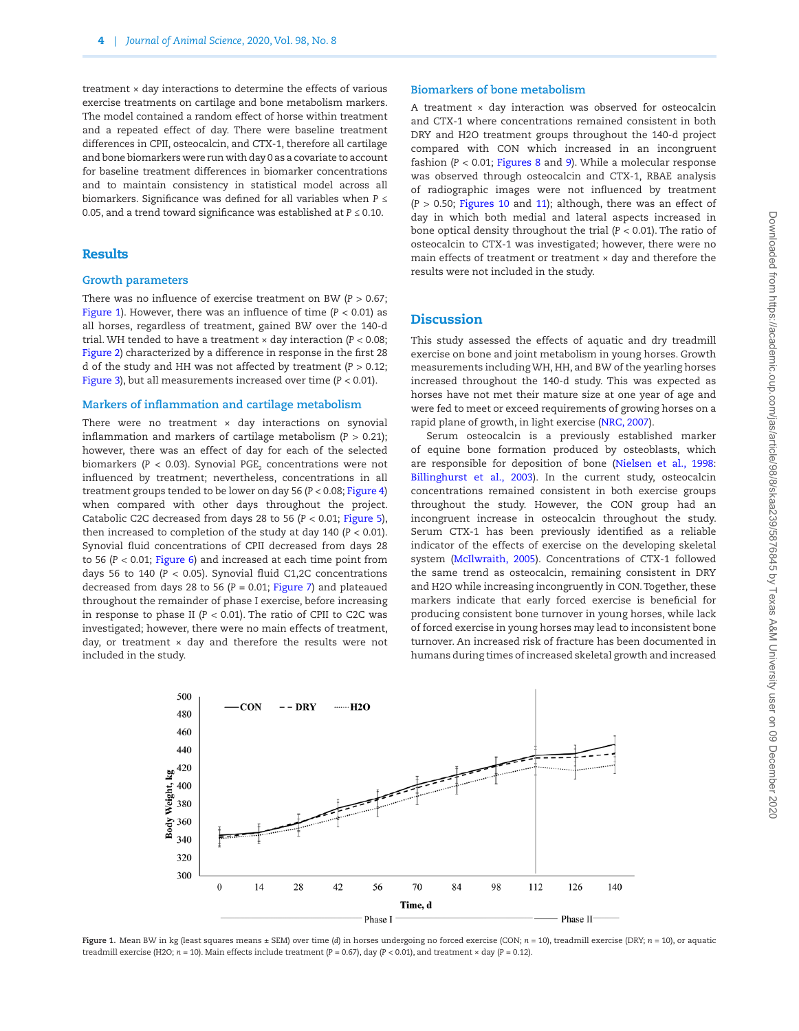treatment × day interactions to determine the effects of various exercise treatments on cartilage and bone metabolism markers. The model contained a random effect of horse within treatment and a repeated effect of day. There were baseline treatment differences in CPII, osteocalcin, and CTX-1, therefore all cartilage and bone biomarkers were run with day 0 as a covariate to account for baseline treatment differences in biomarker concentrations and to maintain consistency in statistical model across all biomarkers. Significance was defined for all variables when *P* ≤ 0.05, and a trend toward significance was established at *P* ≤ 0.10.

#### Results

#### **Growth parameters**

There was no influence of exercise treatment on BW (*P* > 0.67; [Figure 1\)](#page-3-0). However, there was an influence of time (*P* < 0.01) as all horses, regardless of treatment, gained BW over the 140-d trial. WH tended to have a treatment × day interaction (*P* < 0.08; [Figure 2](#page-4-0)) characterized by a difference in response in the first 28 d of the study and HH was not affected by treatment (*P* > 0.12; [Figure 3](#page-4-1)), but all measurements increased over time (*P* < 0.01).

#### **Markers of inflammation and cartilage metabolism**

There were no treatment  $\times$  day interactions on synovial inflammation and markers of cartilage metabolism  $(P > 0.21)$ ; however, there was an effect of day for each of the selected biomarkers (P  $<$  0.03). Synovial PGE $_{\textrm{\tiny{2}}}$  concentrations were not influenced by treatment; nevertheless, concentrations in all treatment groups tended to be lower on day 56 (*P* < 0.08; [Figure 4\)](#page-5-0) when compared with other days throughout the project. Catabolic C2C decreased from days 28 to 56 (*P* < 0.01; [Figure 5\)](#page-5-1), then increased to completion of the study at day 140 (*P* < 0.01). Synovial fluid concentrations of CPII decreased from days 28 to 56 (*P <* 0.01; [Figure 6\)](#page-5-2) and increased at each time point from days 56 to 140 (*P* < 0.05). Synovial fluid C1,2C concentrations decreased from days 28 to 56 (*P* = 0.01; [Figure 7](#page-6-0)) and plateaued throughout the remainder of phase I exercise, before increasing in response to phase II ( $P < 0.01$ ). The ratio of CPII to C2C was investigated; however, there were no main effects of treatment, day, or treatment  $\times$  day and therefore the results were not included in the study.

#### **Biomarkers of bone metabolism**

A treatment × day interaction was observed for osteocalcin and CTX-1 where concentrations remained consistent in both DRY and H2O treatment groups throughout the 140-d project compared with CON which increased in an incongruent fashion (*P* < 0.01; [Figures 8](#page-6-1) and [9](#page-7-0)). While a molecular response was observed through osteocalcin and CTX-1, RBAE analysis of radiographic images were not influenced by treatment (*P* > 0.50; [Figures 10](#page-7-1) and [11](#page-7-2)); although, there was an effect of day in which both medial and lateral aspects increased in bone optical density throughout the trial (*P* < 0.01). The ratio of osteocalcin to CTX-1 was investigated; however, there were no main effects of treatment or treatment × day and therefore the results were not included in the study.

## **Discussion**

This study assessed the effects of aquatic and dry treadmill exercise on bone and joint metabolism in young horses. Growth measurements including WH, HH, and BW of the yearling horses increased throughout the 140-d study. This was expected as horses have not met their mature size at one year of age and were fed to meet or exceed requirements of growing horses on a rapid plane of growth, in light exercise ([NRC, 2007\)](#page-9-6).

Serum osteocalcin is a previously established marker of equine bone formation produced by osteoblasts, which are responsible for deposition of bone ([Nielsen et al., 1998](#page-9-9): [Billinghurst et al., 2003\)](#page-8-6). In the current study, osteocalcin concentrations remained consistent in both exercise groups throughout the study. However, the CON group had an incongruent increase in osteocalcin throughout the study. Serum CTX-1 has been previously identified as a reliable indicator of the effects of exercise on the developing skeletal system [\(McIlwraith, 2005](#page-9-4)). Concentrations of CTX-1 followed the same trend as osteocalcin, remaining consistent in DRY and H2O while increasing incongruently in CON. Together, these markers indicate that early forced exercise is beneficial for producing consistent bone turnover in young horses, while lack of forced exercise in young horses may lead to inconsistent bone turnover. An increased risk of fracture has been documented in humans during times of increased skeletal growth and increased



<span id="page-3-0"></span>**Figure 1.** Mean BW in kg (least squares means ± SEM) over time (*d*) in horses undergoing no forced exercise (CON; *n* = 10), treadmill exercise (DRY; *n* = 10), or aquatic treadmill exercise (H2O; *n* = 10). Main effects include treatment (*P* = 0.67), day (*P* < 0.01), and treatment × day (*P* = 0.12).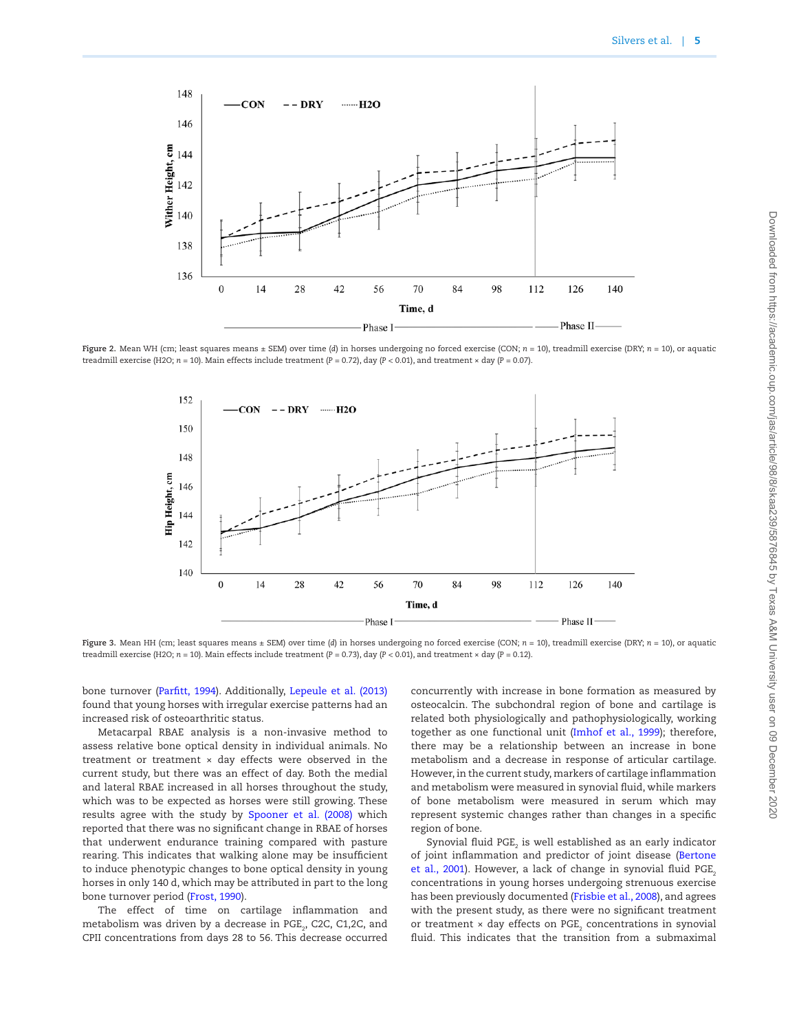

**Figure 2.** Mean WH (cm; least squares means ± SEM) over time (*d*) in horses undergoing no forced exercise (CON; *n* = 10), treadmill exercise (DRY; *n* = 10), or aquatic treadmill exercise (H2O; *n* = 10). Main effects include treatment (*P* = 0.72), day (*P* < 0.01), and treatment × day (*P* = 0.07).

<span id="page-4-0"></span>

<span id="page-4-1"></span>Figure 3. Mean HH (cm; least squares means ± SEM) over time (*d*) in horses undergoing no forced exercise (CON; *n* = 10), treadmill exercise (DRY; *n* = 10), or aquatic treadmill exercise (H2O; *n* = 10). Main effects include treatment (*P* = 0.73), day (*P* < 0.01), and treatment × day (*P* = 0.12).

bone turnover ([Parfitt, 1994\)](#page-9-10). Additionally, [Lepeule et al. \(2013\)](#page-9-11) found that young horses with irregular exercise patterns had an increased risk of osteoarthritic status.

Metacarpal RBAE analysis is a non-invasive method to assess relative bone optical density in individual animals. No treatment or treatment  $\times$  day effects were observed in the current study, but there was an effect of day. Both the medial and lateral RBAE increased in all horses throughout the study, which was to be expected as horses were still growing. These results agree with the study by [Spooner et al. \(2008\)](#page-9-12) which reported that there was no significant change in RBAE of horses that underwent endurance training compared with pasture rearing. This indicates that walking alone may be insufficient to induce phenotypic changes to bone optical density in young horses in only 140 d, which may be attributed in part to the long bone turnover period ([Frost, 1990\)](#page-8-7).

The effect of time on cartilage inflammation and metabolism was driven by a decrease in PGE $_{\textrm{\tiny{2}}}$ , C2C, C1,2C, and CPII concentrations from days 28 to 56. This decrease occurred

concurrently with increase in bone formation as measured by osteocalcin. The subchondral region of bone and cartilage is related both physiologically and pathophysiologically, working together as one functional unit ([Imhof et al., 1999\)](#page-8-8); therefore, there may be a relationship between an increase in bone metabolism and a decrease in response of articular cartilage. However, in the current study, markers of cartilage inflammation and metabolism were measured in synovial fluid, while markers of bone metabolism were measured in serum which may represent systemic changes rather than changes in a specific region of bone.

Synovial fluid PGE $_{\rm _2}$  is well established as an early indicator of joint inflammation and predictor of joint disease ([Bertone](#page-8-4) et al., 2001). However, a lack of change in synovial fluid PGE<sub>2</sub> concentrations in young horses undergoing strenuous exercise has been previously documented ([Frisbie et al., 2008\)](#page-8-9), and agrees with the present study, as there were no significant treatment or treatment  $\times$  day effects on PGE $_2$  concentrations in synovial fluid. This indicates that the transition from a submaximal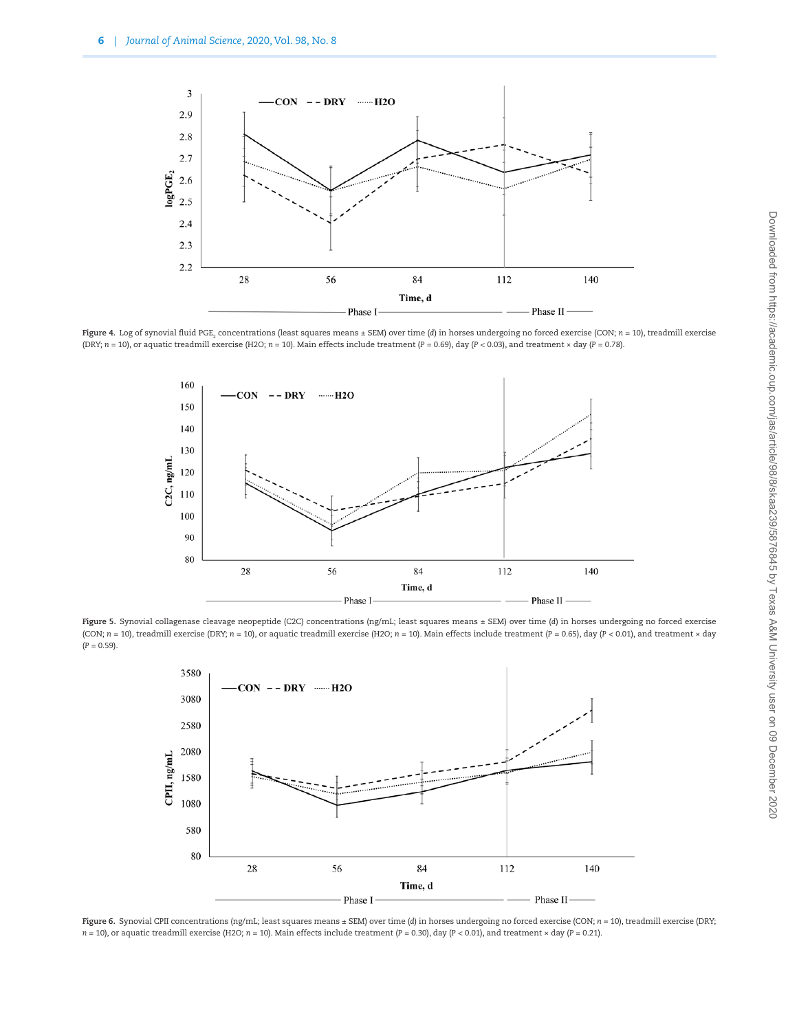

**Figure 4.** Log of synovial fluid PGE<sub>2</sub> concentrations (least squares means ± SEM) over time (d) in horses undergoing no forced exercise (CON; *n* = 10), treadmill exercise (DRY;  $n = 10$ ), or aquatic treadmill exercise (H2O;  $n = 10$ ). Main effects include treatment ( $P = 0.69$ ), day ( $P < 0.03$ ), and treatment × day ( $P = 0.78$ ).

<span id="page-5-0"></span>

**Figure 5.** Synovial collagenase cleavage neopeptide (C2C) concentrations (ng/mL; least squares means ± SEM) over time (*d*) in horses undergoing no forced exercise (CON; *n* = 10), treadmill exercise (DRY; *n* = 10), or aquatic treadmill exercise (H2O; *n* = 10). Main effects include treatment (*P* = 0.65), day (*P* < 0.01), and treatment × day  $(P = 0.59)$ .

<span id="page-5-1"></span>

<span id="page-5-2"></span>**Figure 6.** Synovial CPII concentrations (ng/mL; least squares means ± SEM) over time (*d*) in horses undergoing no forced exercise (CON; *n* = 10), treadmill exercise (DRY; *n* = 10), or aquatic treadmill exercise (H2O; *n* = 10). Main effects include treatment (*P* = 0.30), day (*P* < 0.01), and treatment × day (*P* = 0.21).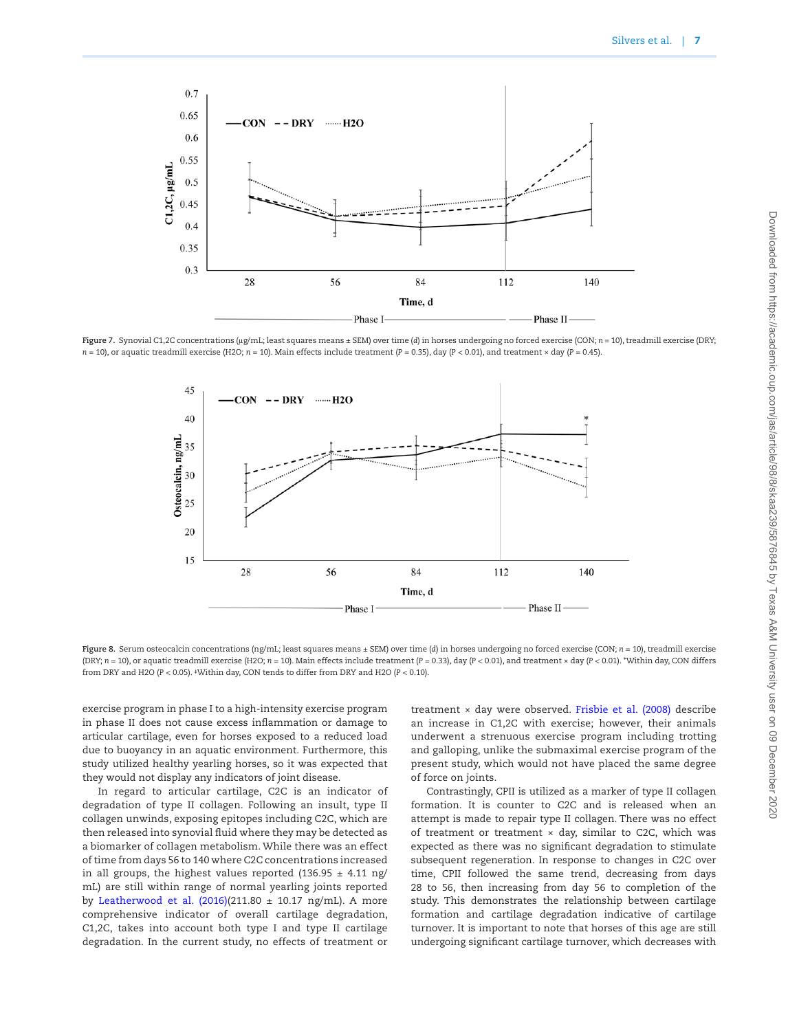

**Figure 7.** Synovial C1,2C concentrations (μg/mL; least squares means ± SEM) over time (*d*) in horses undergoing no forced exercise (CON; *n* = 10), treadmill exercise (DRY;  $n = 10$ ), or aquatic treadmill exercise (H2O;  $n = 10$ ). Main effects include treatment (*P* = 0.35), day (*P* < 0.01), and treatment × day (*P* = 0.45).

<span id="page-6-0"></span>

<span id="page-6-1"></span>**Figure 8.** Serum osteocalcin concentrations (ng/mL; least squares means ± SEM) over time (*d*) in horses undergoing no forced exercise (CON; *n* = 10), treadmill exercise (DRY; *n* = 10), or aquatic treadmill exercise (H2O; *n* = 10). Main effects include treatment (*P* = 0.33), day (*P* < 0.01), and treatment × day (*P* < 0.01). \*Within day, CON differs from DRY and H2O (*P* < 0.05). **‡**Within day, CON tends to differ from DRY and H2O (*P* < 0.10).

exercise program in phase I to a high-intensity exercise program in phase II does not cause excess inflammation or damage to articular cartilage, even for horses exposed to a reduced load due to buoyancy in an aquatic environment. Furthermore, this study utilized healthy yearling horses, so it was expected that they would not display any indicators of joint disease.

In regard to articular cartilage, C2C is an indicator of degradation of type II collagen. Following an insult, type II collagen unwinds, exposing epitopes including C2C, which are then released into synovial fluid where they may be detected as a biomarker of collagen metabolism. While there was an effect of time from days 56 to 140 where C2C concentrations increased in all groups, the highest values reported (136.95  $\pm$  4.11 ng/ mL) are still within range of normal yearling joints reported by Leatherwood et al.  $(2016)(211.80 \pm 10.17 \text{ ng/mL})$ . A more comprehensive indicator of overall cartilage degradation, C1,2C, takes into account both type I and type II cartilage degradation. In the current study, no effects of treatment or

treatment × day were observed. [Frisbie et al. \(2008\)](#page-8-9) describe an increase in C1,2C with exercise; however, their animals underwent a strenuous exercise program including trotting and galloping, unlike the submaximal exercise program of the present study, which would not have placed the same degree of force on joints.

Contrastingly, CPII is utilized as a marker of type II collagen formation. It is counter to C2C and is released when an attempt is made to repair type II collagen. There was no effect of treatment or treatment  $\times$  day, similar to C2C, which was expected as there was no significant degradation to stimulate subsequent regeneration. In response to changes in C2C over time, CPII followed the same trend, decreasing from days 28 to 56, then increasing from day 56 to completion of the study. This demonstrates the relationship between cartilage formation and cartilage degradation indicative of cartilage turnover. It is important to note that horses of this age are still undergoing significant cartilage turnover, which decreases with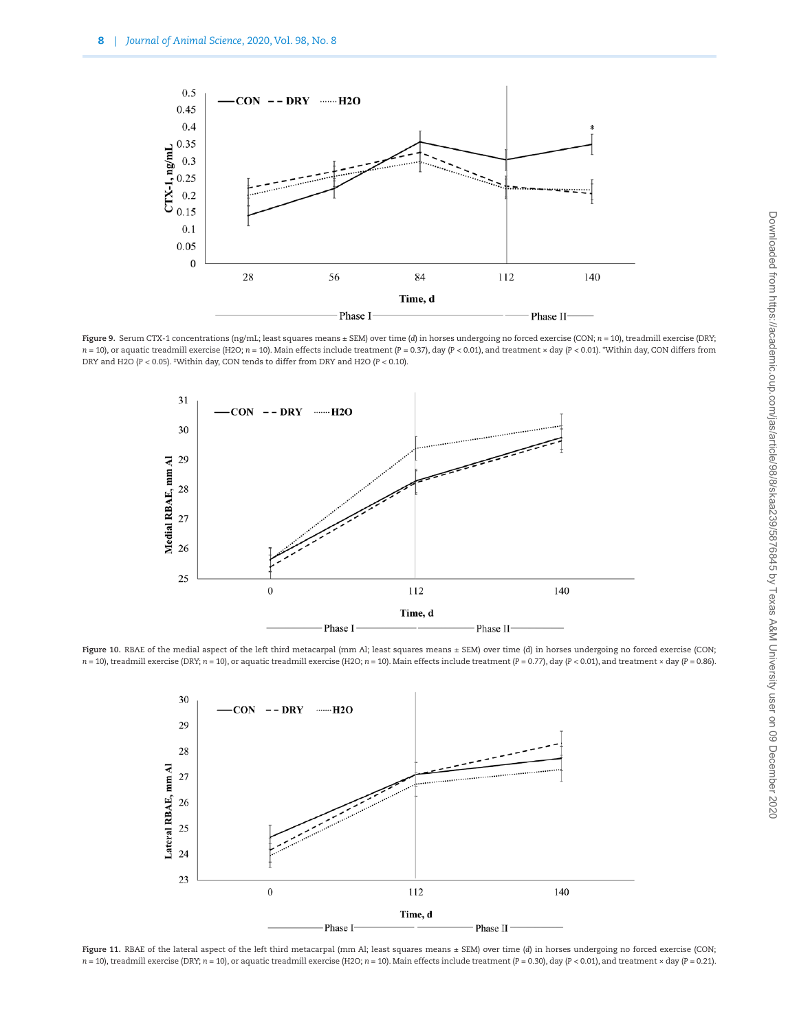

**Figure 9.** Serum CTX-1 concentrations (ng/mL; least squares means ± SEM) over time (*d*) in horses undergoing no forced exercise (CON; *n* = 10), treadmill exercise (DRY; *n* = 10), or aquatic treadmill exercise (H2O; *n* = 10). Main effects include treatment (*P* = 0.37), day (*P* < 0.01), and treatment × day (*P* < 0.01). \*Within day, CON differs from DRY and H2O (*P* < 0.05). **‡**Within day, CON tends to differ from DRY and H2O (*P* < 0.10).

<span id="page-7-0"></span>

Figure 10. RBAE of the medial aspect of the left third metacarpal (mm Al; least squares means ± SEM) over time (d) in horses undergoing no forced exercise (CON; *n* = 10), treadmill exercise (DRY; *n* = 10), or aquatic treadmill exercise (H2O; *n* = 10). Main effects include treatment (*P* = 0.77), day (*P* < 0.01), and treatment × day (*P* = 0.86).

<span id="page-7-1"></span>

<span id="page-7-2"></span>**Figure 11.** RBAE of the lateral aspect of the left third metacarpal (mm Al; least squares means ± SEM) over time (*d*) in horses undergoing no forced exercise (CON; *n* = 10), treadmill exercise (DRY; *n* = 10), or aquatic treadmill exercise (H2O; *n* = 10). Main effects include treatment (*P* = 0.30), day (*P* < 0.01), and treatment × day (*P* = 0.21).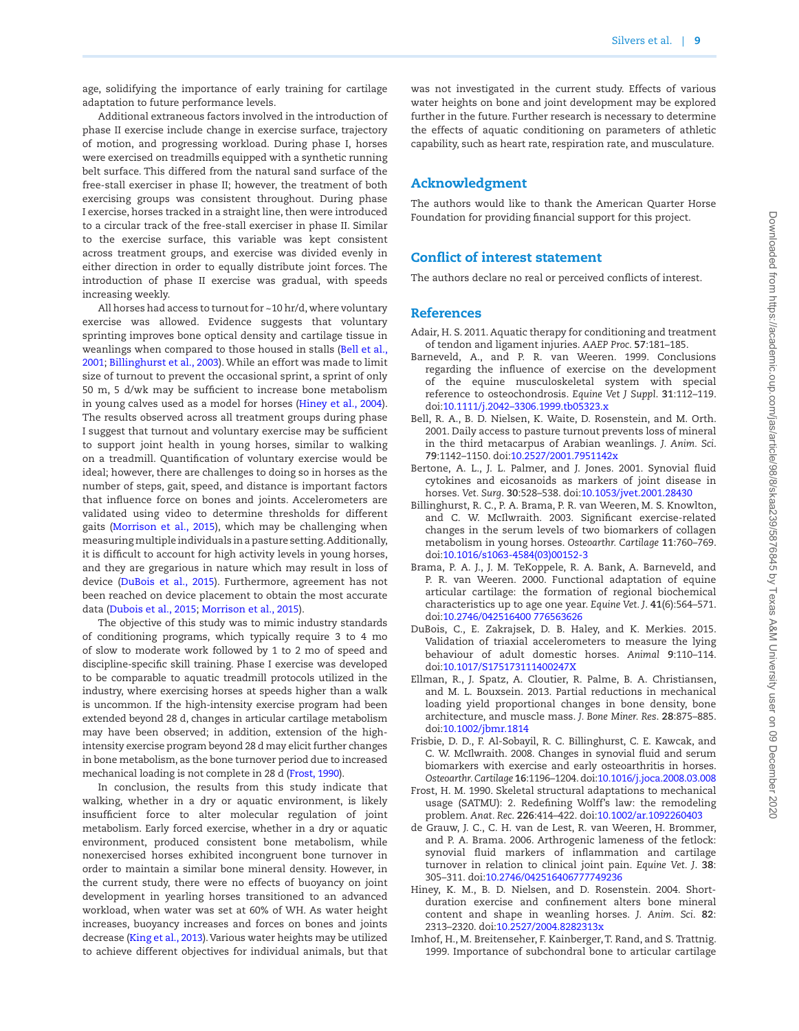age, solidifying the importance of early training for cartilage adaptation to future performance levels.

Additional extraneous factors involved in the introduction of phase II exercise include change in exercise surface, trajectory of motion, and progressing workload. During phase I, horses were exercised on treadmills equipped with a synthetic running belt surface. This differed from the natural sand surface of the free-stall exerciser in phase II; however, the treatment of both exercising groups was consistent throughout. During phase I exercise, horses tracked in a straight line, then were introduced to a circular track of the free-stall exerciser in phase II. Similar to the exercise surface, this variable was kept consistent across treatment groups, and exercise was divided evenly in either direction in order to equally distribute joint forces. The introduction of phase II exercise was gradual, with speeds increasing weekly.

All horses had access to turnout for ~10 hr/d, where voluntary exercise was allowed. Evidence suggests that voluntary sprinting improves bone optical density and cartilage tissue in weanlings when compared to those housed in stalls [\(Bell et al.,](#page-8-10) [2001;](#page-8-10) [Billinghurst et al., 2003\)](#page-8-6). While an effort was made to limit size of turnout to prevent the occasional sprint, a sprint of only 50 m, 5 d/wk may be sufficient to increase bone metabolism in young calves used as a model for horses [\(Hiney et al., 2004\)](#page-8-11). The results observed across all treatment groups during phase I suggest that turnout and voluntary exercise may be sufficient to support joint health in young horses, similar to walking on a treadmill. Quantification of voluntary exercise would be ideal; however, there are challenges to doing so in horses as the number of steps, gait, speed, and distance is important factors that influence force on bones and joints. Accelerometers are validated using video to determine thresholds for different gaits ([Morrison et al., 2015\)](#page-9-14), which may be challenging when measuring multiple individuals in a pasture setting. Additionally, it is difficult to account for high activity levels in young horses, and they are gregarious in nature which may result in loss of device ([DuBois et al., 2015](#page-8-12)). Furthermore, agreement has not been reached on device placement to obtain the most accurate data ([Dubois et al., 2015;](#page-8-12) [Morrison et al., 2015](#page-9-14)).

The objective of this study was to mimic industry standards of conditioning programs, which typically require 3 to 4 mo of slow to moderate work followed by 1 to 2 mo of speed and discipline-specific skill training. Phase I exercise was developed to be comparable to aquatic treadmill protocols utilized in the industry, where exercising horses at speeds higher than a walk is uncommon. If the high-intensity exercise program had been extended beyond 28 d, changes in articular cartilage metabolism may have been observed; in addition, extension of the highintensity exercise program beyond 28 d may elicit further changes in bone metabolism, as the bone turnover period due to increased mechanical loading is not complete in 28 d [\(Frost, 1990\)](#page-8-7).

In conclusion, the results from this study indicate that walking, whether in a dry or aquatic environment, is likely insufficient force to alter molecular regulation of joint metabolism. Early forced exercise, whether in a dry or aquatic environment, produced consistent bone metabolism, while nonexercised horses exhibited incongruent bone turnover in order to maintain a similar bone mineral density. However, in the current study, there were no effects of buoyancy on joint development in yearling horses transitioned to an advanced workload, when water was set at 60% of WH. As water height increases, buoyancy increases and forces on bones and joints decrease [\(King et al., 2013](#page-9-2)). Various water heights may be utilized to achieve different objectives for individual animals, but that

was not investigated in the current study. Effects of various water heights on bone and joint development may be explored further in the future. Further research is necessary to determine the effects of aquatic conditioning on parameters of athletic capability, such as heart rate, respiration rate, and musculature.

# Acknowledgment

The authors would like to thank the American Quarter Horse Foundation for providing financial support for this project.

# Conflict of interest statement

The authors declare no real or perceived conflicts of interest.

### **References**

- <span id="page-8-3"></span>Adair, H. S. 2011. Aquatic therapy for conditioning and treatment of tendon and ligament injuries. *AAEP Proc*. **57**:181–185.
- <span id="page-8-1"></span>Barneveld, A., and P. R. van Weeren. 1999. Conclusions regarding the influence of exercise on the development of the equine musculoskeletal system with special reference to osteochondrosis. *Equine Vet J Suppl*. **31**:112–119. doi:[10.1111/j.2042–3306.1999.tb05323.x](https://doi.org/10.1111/j.2042–3306.1999.tb05323.x)
- <span id="page-8-10"></span>Bell, R. A., B. D. Nielsen, K. Waite, D. Rosenstein, and M. Orth. 2001. Daily access to pasture turnout prevents loss of mineral in the third metacarpus of Arabian weanlings. *J. Anim. Sci*. **79**:1142–1150. doi:[10.2527/2001.7951142x](https://doi.org/10.2527/2001.7951142x)
- <span id="page-8-4"></span>Bertone, A. L., J. L. Palmer, and J. Jones. 2001. Synovial fluid cytokines and eicosanoids as markers of joint disease in horses. *Vet. Surg*. **30**:528–538. doi:[10.1053/jvet.2001.28430](https://doi.org/10.1053/jvet.2001.28430)
- <span id="page-8-6"></span>Billinghurst, R. C., P. A. Brama, P. R. van Weeren, M. S. Knowlton, and C. W. McIlwraith. 2003. Significant exercise-related changes in the serum levels of two biomarkers of collagen metabolism in young horses. *Osteoarthr. Cartilage* **11**:760–769. doi:[10.1016/s1063-4584\(03\)00152-3](https://doi.org/10.1016/s1063-4584(03)00152-3)
- <span id="page-8-0"></span>Brama, P. A. J., J. M. TeKoppele, R. A. Bank, A. Barneveld, and P. R. van Weeren. 2000. Functional adaptation of equine articular cartilage: the formation of regional biochemical characteristics up to age one year. *Equine Vet. J*. **41**(6):564–571. doi:[10.2746/042516400 776563626](https://doi.org/10.2746/042516400 776563626)
- <span id="page-8-12"></span>DuBois, C., E. Zakrajsek, D. B. Haley, and K. Merkies. 2015. Validation of triaxial accelerometers to measure the lying behaviour of adult domestic horses. *Animal* **9**:110–114. doi:[10.1017/S175173111400247X](https://doi.org/10.1017/S175173111400247X)
- <span id="page-8-2"></span>Ellman, R., J. Spatz, A. Cloutier, R. Palme, B. A. Christiansen, and M. L. Bouxsein. 2013. Partial reductions in mechanical loading yield proportional changes in bone density, bone architecture, and muscle mass. *J. Bone Miner. Res*. **28**:875–885. doi:[10.1002/jbmr.1814](https://doi.org/10.1002/jbmr.1814)
- <span id="page-8-9"></span>Frisbie, D. D., F. Al-Sobayil, R. C. Billinghurst, C. E. Kawcak, and C. W. McIlwraith. 2008. Changes in synovial fluid and serum biomarkers with exercise and early osteoarthritis in horses. *Osteoarthr. Cartilage* **16**:1196–1204. doi[:10.1016/j.joca.2008.03.008](https://doi.org/10.1016/j.joca.2008.03.008)
- <span id="page-8-7"></span>Frost, H. M. 1990. Skeletal structural adaptations to mechanical usage (SATMU): 2. Redefining Wolff's law: the remodeling problem. *Anat. Rec*. **226**:414–422. doi[:10.1002/ar.1092260403](https://doi.org/10.1002/ar.1092260403)
- <span id="page-8-5"></span>de Grauw, J. C., C. H. van de Lest, R. van Weeren, H. Brommer, and P. A. Brama. 2006. Arthrogenic lameness of the fetlock: synovial fluid markers of inflammation and cartilage turnover in relation to clinical joint pain. *Equine Vet. J*. **38**: 305–311. doi[:10.2746/042516406777749236](https://doi.org/10.2746/042516406777749236)
- <span id="page-8-11"></span>Hiney, K. M., B. D. Nielsen, and D. Rosenstein. 2004. Shortduration exercise and confinement alters bone mineral content and shape in weanling horses. *J. Anim. Sci*. **82**: 2313–2320. doi:[10.2527/2004.8282313x](https://doi.org/10.2527/2004.8282313x)
- <span id="page-8-8"></span>Imhof, H., M. Breitenseher, F. Kainberger, T. Rand, and S. Trattnig. 1999. Importance of subchondral bone to articular cartilage